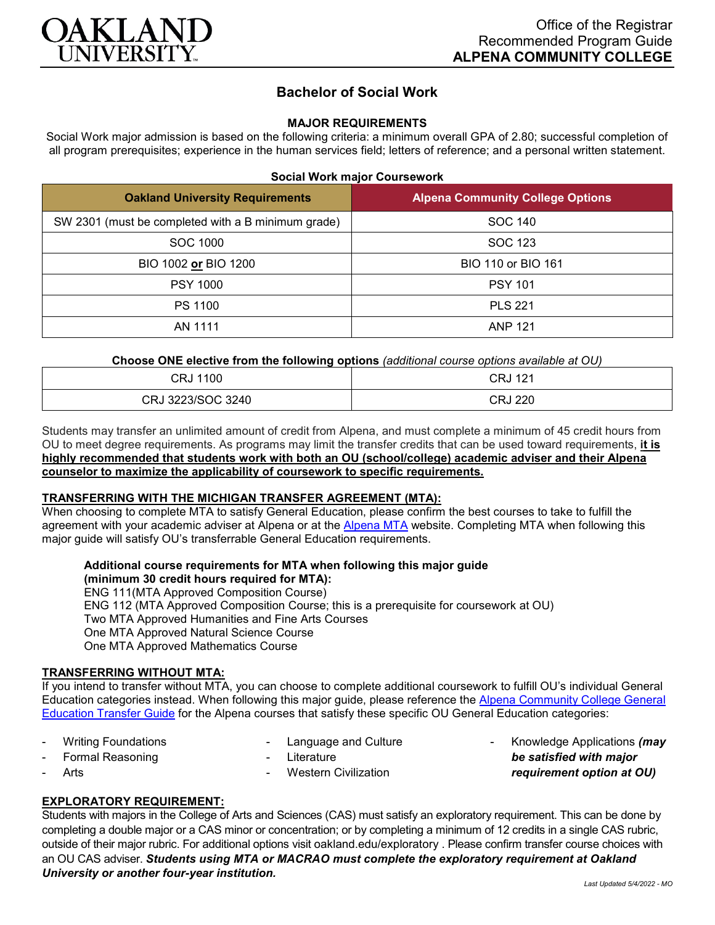

# **Bachelor of Social Work**

## **MAJOR REQUIREMENTS**

Social Work major admission is based on the following criteria: a minimum overall GPA of 2.80; successful completion of all program prerequisites; experience in the human services field; letters of reference; and a personal written statement.

### **Social Work major Coursework**

| <b>Oakland University Requirements</b>             | <b>Alpena Community College Options</b> |
|----------------------------------------------------|-----------------------------------------|
| SW 2301 (must be completed with a B minimum grade) | SOC 140                                 |
| SOC 1000                                           | SOC 123                                 |
| BIO 1002 or BIO 1200                               | BIO 110 or BIO 161                      |
| <b>PSY 1000</b>                                    | <b>PSY 101</b>                          |
| PS 1100                                            | <b>PLS 221</b>                          |
| AN 1111                                            | <b>ANP 121</b>                          |

**Choose ONE elective from the following options** *(additional course options available at OU)*

| 1100              | 121     |
|-------------------|---------|
| CRJ               | CRJ     |
| CRJ 3223/SOC 3240 | CRJ 220 |

Students may transfer an unlimited amount of credit from Alpena, and must complete a minimum of 45 credit hours from OU to meet degree requirements. As programs may limit the transfer credits that can be used toward requirements, **it is highly recommended that students work with both an OU (school/college) academic adviser and their Alpena counselor to maximize the applicability of coursework to specific requirements.**

# **TRANSFERRING WITH THE MICHIGAN TRANSFER AGREEMENT (MTA):**

When choosing to complete MTA to satisfy General Education, please confirm the best courses to take to fulfill the agreement with your academic adviser at Alpena or at the [Alpena MTA](https://discover.alpenacc.edu/admissions/current_students/MTA.php) website. Completing MTA when following this major guide will satisfy OU's transferrable General Education requirements.

## **Additional course requirements for MTA when following this major guide (minimum 30 credit hours required for MTA):**

ENG 111(MTA Approved Composition Course) ENG 112 (MTA Approved Composition Course; this is a prerequisite for coursework at OU) Two MTA Approved Humanities and Fine Arts Courses One MTA Approved Natural Science Course One MTA Approved Mathematics Course

#### **TRANSFERRING WITHOUT MTA:**

If you intend to transfer without MTA, you can choose to complete additional coursework to fulfill OU's individual General Education categories instead. When following this major guide, please reference the [Alpena Community College General](https://www.oakland.edu/Assets/Oakland/program-guides/alpena-community-college/university-general-education-requirements/Alpena%20Gen%20Ed.pdf)  [Education Transfer Guide](https://www.oakland.edu/Assets/Oakland/program-guides/alpena-community-college/university-general-education-requirements/Alpena%20Gen%20Ed.pdf) for the Alpena courses that satisfy these specific OU General Education categories:

- Writing Foundations
- Language and Culture

Formal Reasoning

**Literature** 

**Arts** 

**Western Civilization** 

- Knowledge Applications *(may be satisfied with major requirement option at OU)*

# **EXPLORATORY REQUIREMENT:**

Students with majors in the College of Arts and Sciences (CAS) must satisfy an exploratory requirement. This can be done by completing a double major or a CAS minor or concentration; or by completing a minimum of 12 credits in a single CAS rubric, outside of their major rubric. For additional options visit [oakland.edu/exploratory](http://www.oakland.edu/exploratory) . Please confirm transfer course choices with an OU CAS adviser. *Students using MTA or MACRAO must complete the exploratory requirement at Oakland University or another four-year institution.*